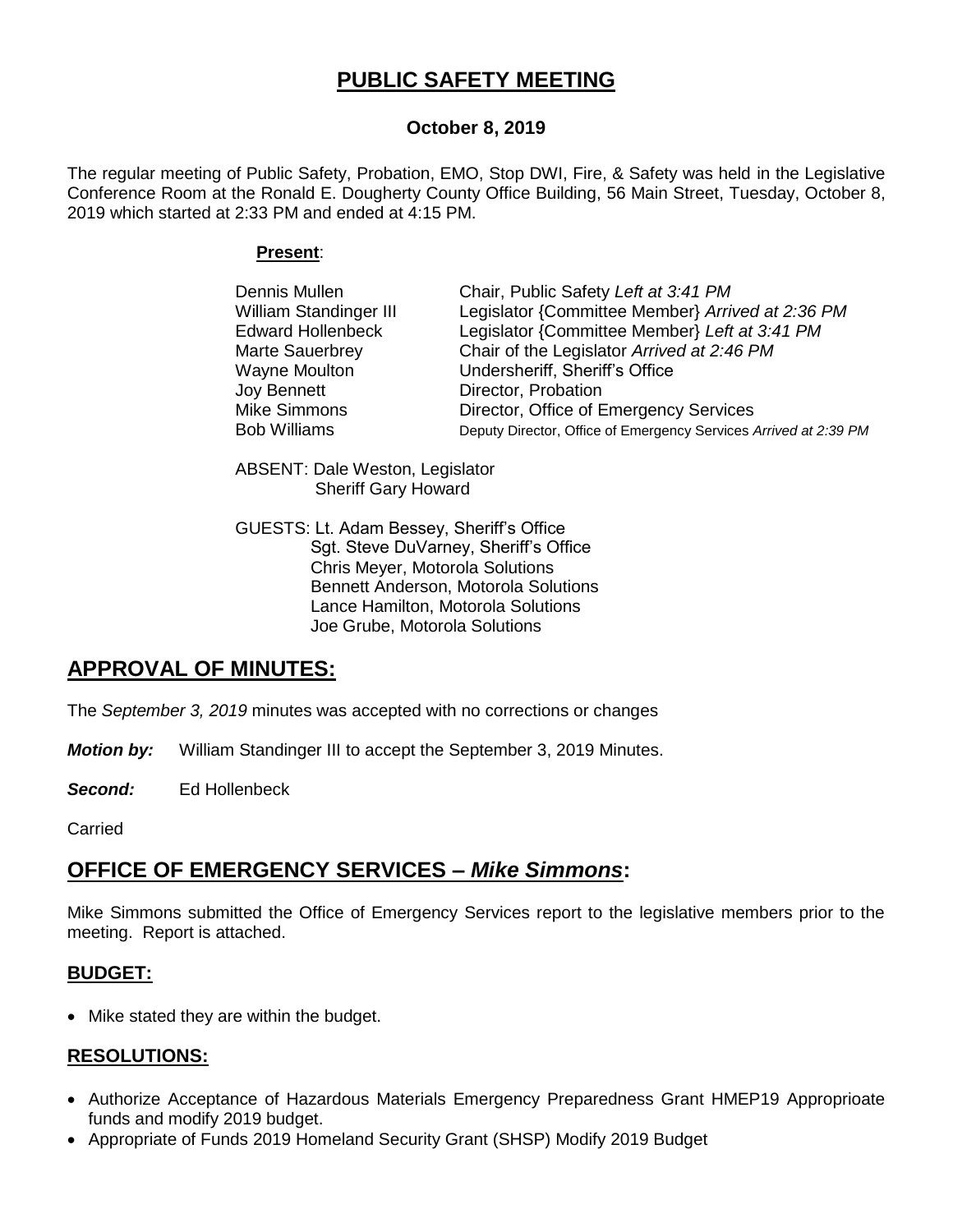# **PUBLIC SAFETY MEETING**

## **October 8, 2019**

The regular meeting of Public Safety, Probation, EMO, Stop DWI, Fire, & Safety was held in the Legislative Conference Room at the Ronald E. Dougherty County Office Building, 56 Main Street, Tuesday, October 8, 2019 which started at 2:33 PM and ended at 4:15 PM.

#### **Present**:

| Dennis Mullen            | Chair, Public Safety Left at 3:41 PM                             |
|--------------------------|------------------------------------------------------------------|
| William Standinger III   | Legislator {Committee Member} Arrived at 2:36 PM                 |
| <b>Edward Hollenbeck</b> | Legislator {Committee Member} Left at 3:41 PM                    |
| Marte Sauerbrey          | Chair of the Legislator Arrived at 2:46 PM                       |
| Wayne Moulton            | Undersheriff, Sheriff's Office                                   |
| Joy Bennett              | Director, Probation                                              |
| Mike Simmons             | Director, Office of Emergency Services                           |
| <b>Bob Williams</b>      | Deputy Director, Office of Emergency Services Arrived at 2:39 PM |

ABSENT: Dale Weston, Legislator Sheriff Gary Howard

GUESTS: Lt. Adam Bessey, Sheriff's Office Sgt. Steve DuVarney, Sheriff's Office Chris Meyer, Motorola Solutions Bennett Anderson, Motorola Solutions Lance Hamilton, Motorola Solutions Joe Grube, Motorola Solutions

# **APPROVAL OF MINUTES:**

The *September 3, 2019* minutes was accepted with no corrections or changes

*Motion by:* William Standinger III to accept the September 3, 2019 Minutes.

*Second:* Ed Hollenbeck

Carried

# **OFFICE OF EMERGENCY SERVICES –** *Mike Simmons***:**

Mike Simmons submitted the Office of Emergency Services report to the legislative members prior to the meeting. Report is attached.

## **BUDGET:**

• Mike stated they are within the budget.

## **RESOLUTIONS:**

- Authorize Acceptance of Hazardous Materials Emergency Preparedness Grant HMEP19 Approprioate funds and modify 2019 budget.
- Appropriate of Funds 2019 Homeland Security Grant (SHSP) Modify 2019 Budget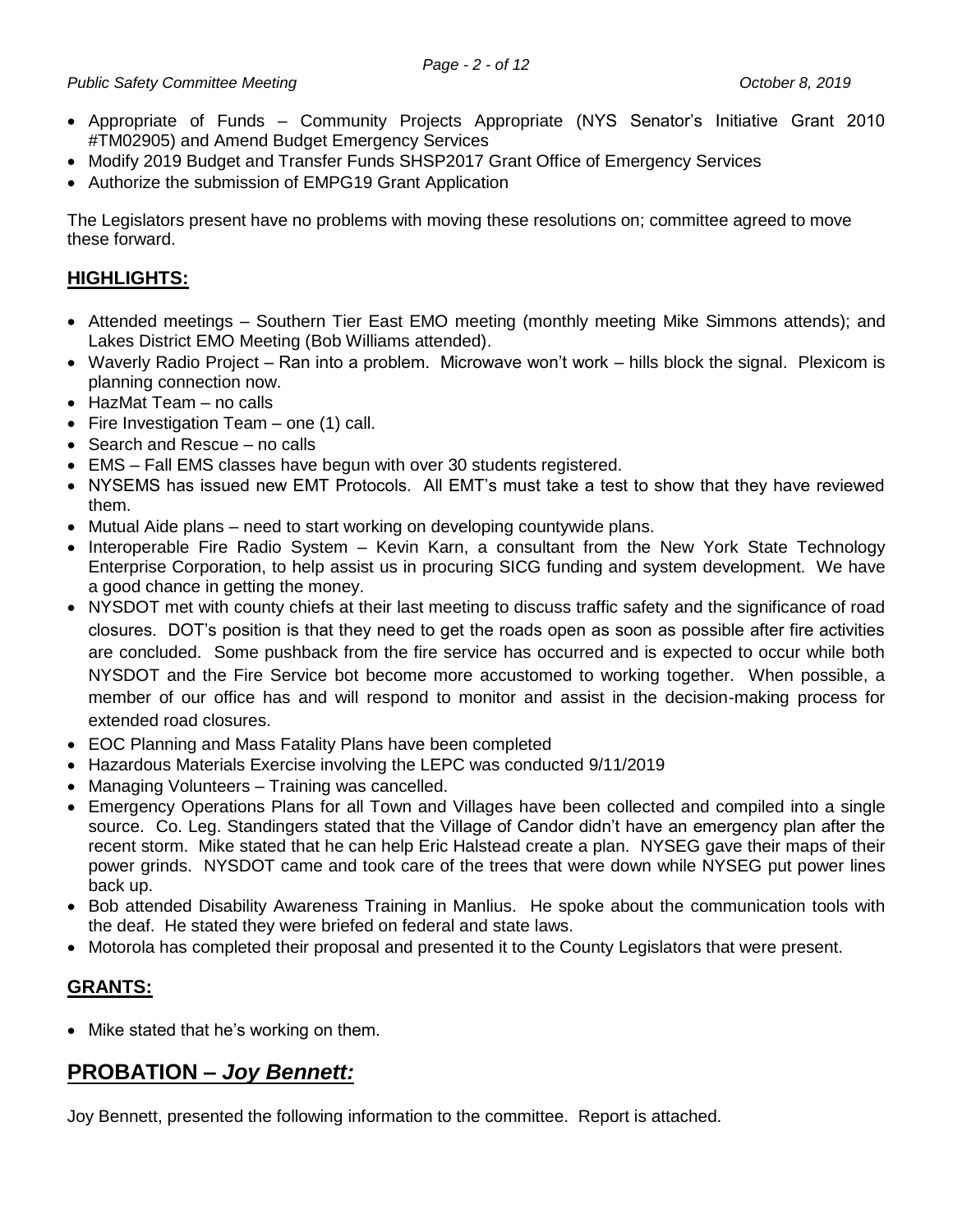- Appropriate of Funds Community Projects Appropriate (NYS Senator's Initiative Grant 2010 #TM02905) and Amend Budget Emergency Services
- Modify 2019 Budget and Transfer Funds SHSP2017 Grant Office of Emergency Services
- Authorize the submission of EMPG19 Grant Application

The Legislators present have no problems with moving these resolutions on; committee agreed to move these forward.

## **HIGHLIGHTS:**

- Attended meetings Southern Tier East EMO meeting (monthly meeting Mike Simmons attends); and Lakes District EMO Meeting (Bob Williams attended).
- Waverly Radio Project Ran into a problem. Microwave won't work hills block the signal. Plexicom is planning connection now.
- HazMat Team no calls
- Fire Investigation Team one  $(1)$  call.
- Search and Rescue no calls
- EMS Fall EMS classes have begun with over 30 students registered.
- NYSEMS has issued new EMT Protocols. All EMT's must take a test to show that they have reviewed them.
- Mutual Aide plans need to start working on developing countywide plans.
- Interoperable Fire Radio System Kevin Karn, a consultant from the New York State Technology Enterprise Corporation, to help assist us in procuring SICG funding and system development. We have a good chance in getting the money.
- NYSDOT met with county chiefs at their last meeting to discuss traffic safety and the significance of road closures. DOT's position is that they need to get the roads open as soon as possible after fire activities are concluded. Some pushback from the fire service has occurred and is expected to occur while both NYSDOT and the Fire Service bot become more accustomed to working together. When possible, a member of our office has and will respond to monitor and assist in the decision-making process for extended road closures.
- EOC Planning and Mass Fatality Plans have been completed
- Hazardous Materials Exercise involving the LEPC was conducted 9/11/2019
- Managing Volunteers Training was cancelled.
- Emergency Operations Plans for all Town and Villages have been collected and compiled into a single source. Co. Leg. Standingers stated that the Village of Candor didn't have an emergency plan after the recent storm. Mike stated that he can help Eric Halstead create a plan. NYSEG gave their maps of their power grinds. NYSDOT came and took care of the trees that were down while NYSEG put power lines back up.
- Bob attended Disability Awareness Training in Manlius. He spoke about the communication tools with the deaf. He stated they were briefed on federal and state laws.
- Motorola has completed their proposal and presented it to the County Legislators that were present.

## **GRANTS:**

• Mike stated that he's working on them.

# **PROBATION –** *Joy Bennett:*

Joy Bennett, presented the following information to the committee. Report is attached.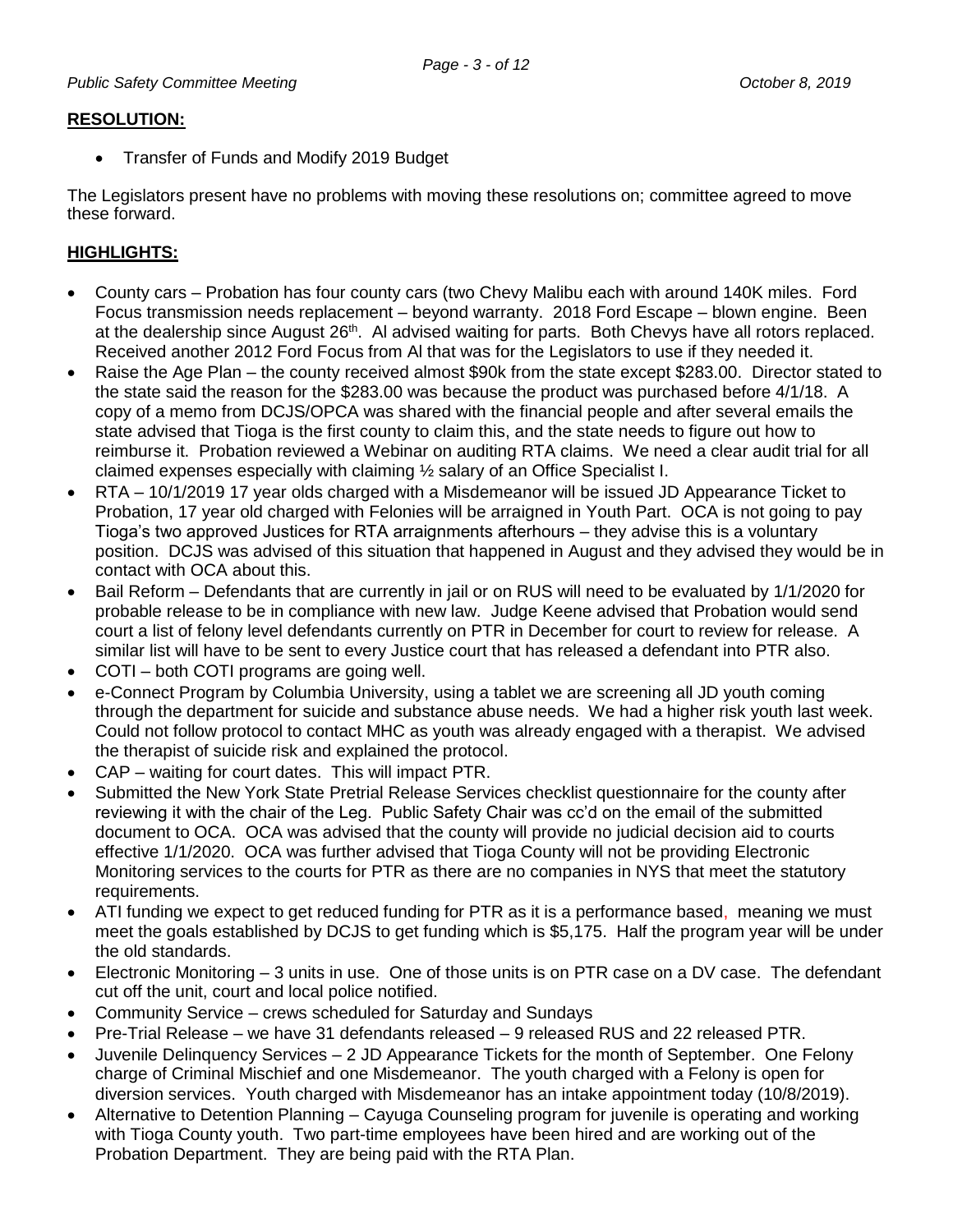## **RESOLUTION:**

• Transfer of Funds and Modify 2019 Budget

The Legislators present have no problems with moving these resolutions on; committee agreed to move these forward.

## **HIGHLIGHTS:**

- County cars Probation has four county cars (two Chevy Malibu each with around 140K miles. Ford Focus transmission needs replacement – beyond warranty. 2018 Ford Escape – blown engine. Been at the dealership since August 26<sup>th</sup>. Al advised waiting for parts. Both Chevys have all rotors replaced. Received another 2012 Ford Focus from Al that was for the Legislators to use if they needed it.
- Raise the Age Plan the county received almost \$90k from the state except \$283.00. Director stated to the state said the reason for the \$283.00 was because the product was purchased before 4/1/18. A copy of a memo from DCJS/OPCA was shared with the financial people and after several emails the state advised that Tioga is the first county to claim this, and the state needs to figure out how to reimburse it. Probation reviewed a Webinar on auditing RTA claims. We need a clear audit trial for all claimed expenses especially with claiming ½ salary of an Office Specialist I.
- RTA 10/1/2019 17 year olds charged with a Misdemeanor will be issued JD Appearance Ticket to Probation, 17 year old charged with Felonies will be arraigned in Youth Part. OCA is not going to pay Tioga's two approved Justices for RTA arraignments afterhours – they advise this is a voluntary position. DCJS was advised of this situation that happened in August and they advised they would be in contact with OCA about this.
- Bail Reform Defendants that are currently in jail or on RUS will need to be evaluated by 1/1/2020 for probable release to be in compliance with new law. Judge Keene advised that Probation would send court a list of felony level defendants currently on PTR in December for court to review for release. A similar list will have to be sent to every Justice court that has released a defendant into PTR also.
- COTI both COTI programs are going well.
- e-Connect Program by Columbia University, using a tablet we are screening all JD youth coming through the department for suicide and substance abuse needs. We had a higher risk youth last week. Could not follow protocol to contact MHC as youth was already engaged with a therapist. We advised the therapist of suicide risk and explained the protocol.
- CAP waiting for court dates. This will impact PTR.
- Submitted the New York State Pretrial Release Services checklist questionnaire for the county after reviewing it with the chair of the Leg. Public Safety Chair was cc'd on the email of the submitted document to OCA. OCA was advised that the county will provide no judicial decision aid to courts effective 1/1/2020. OCA was further advised that Tioga County will not be providing Electronic Monitoring services to the courts for PTR as there are no companies in NYS that meet the statutory requirements.
- ATI funding we expect to get reduced funding for PTR as it is a performance based, meaning we must meet the goals established by DCJS to get funding which is \$5,175. Half the program year will be under the old standards.
- Electronic Monitoring 3 units in use. One of those units is on PTR case on a DV case. The defendant cut off the unit, court and local police notified.
- Community Service crews scheduled for Saturday and Sundays
- Pre-Trial Release we have 31 defendants released 9 released RUS and 22 released PTR.
- Juvenile Delinquency Services 2 JD Appearance Tickets for the month of September. One Felony charge of Criminal Mischief and one Misdemeanor. The youth charged with a Felony is open for diversion services. Youth charged with Misdemeanor has an intake appointment today (10/8/2019).
- Alternative to Detention Planning Cayuga Counseling program for juvenile is operating and working with Tioga County youth. Two part-time employees have been hired and are working out of the Probation Department. They are being paid with the RTA Plan.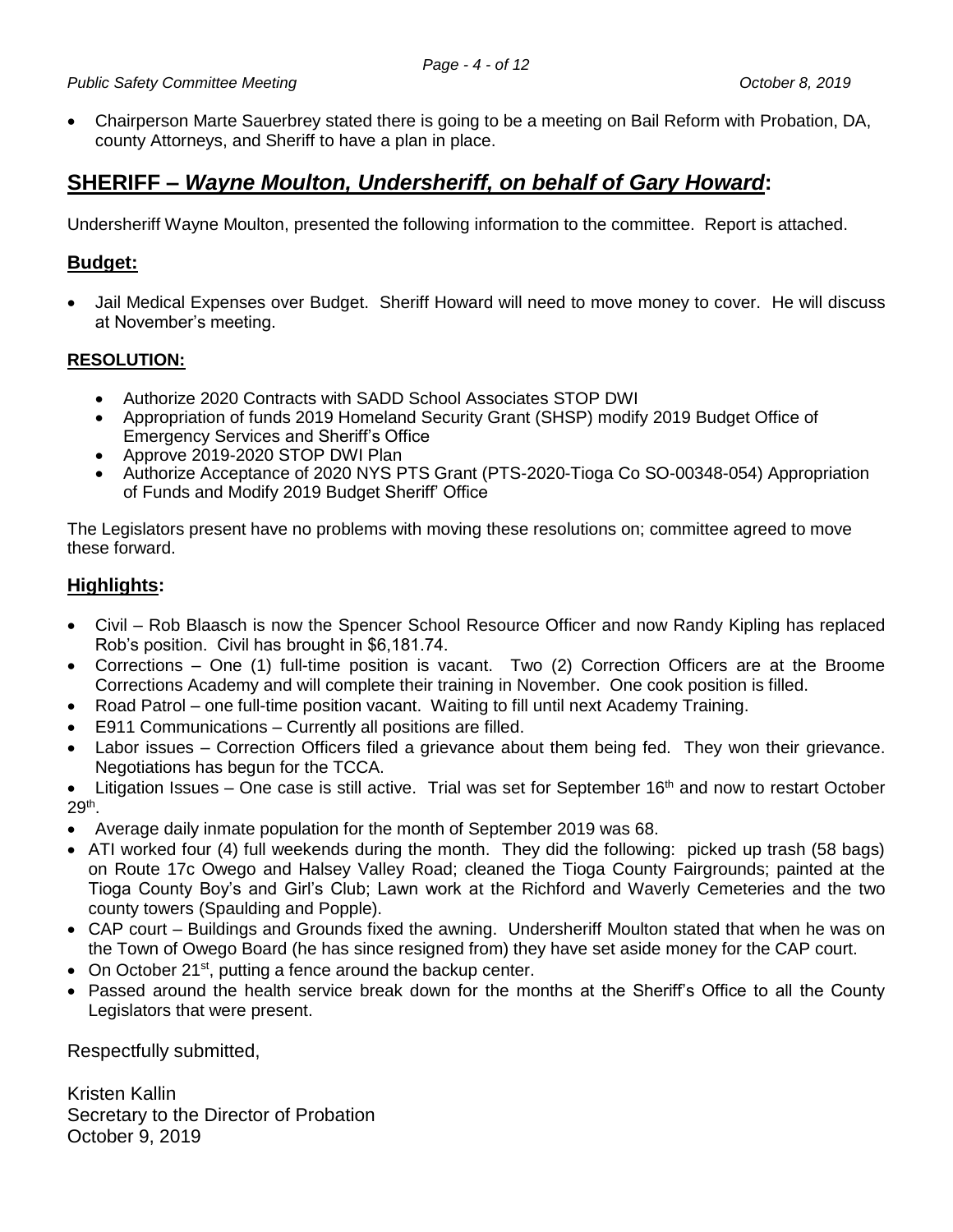Chairperson Marte Sauerbrey stated there is going to be a meeting on Bail Reform with Probation, DA, county Attorneys, and Sheriff to have a plan in place.

# **SHERIFF –** *Wayne Moulton, Undersheriff, on behalf of Gary Howard***:**

Undersheriff Wayne Moulton, presented the following information to the committee. Report is attached.

## **Budget:**

 Jail Medical Expenses over Budget. Sheriff Howard will need to move money to cover. He will discuss at November's meeting.

## **RESOLUTION:**

- Authorize 2020 Contracts with SADD School Associates STOP DWI
- Appropriation of funds 2019 Homeland Security Grant (SHSP) modify 2019 Budget Office of Emergency Services and Sheriff's Office
- Approve 2019-2020 STOP DWI Plan
- Authorize Acceptance of 2020 NYS PTS Grant (PTS-2020-Tioga Co SO-00348-054) Appropriation of Funds and Modify 2019 Budget Sheriff' Office

The Legislators present have no problems with moving these resolutions on; committee agreed to move these forward.

## **Highlights:**

- Civil Rob Blaasch is now the Spencer School Resource Officer and now Randy Kipling has replaced Rob's position. Civil has brought in \$6,181.74.
- Corrections One (1) full-time position is vacant. Two (2) Correction Officers are at the Broome Corrections Academy and will complete their training in November. One cook position is filled.
- Road Patrol one full-time position vacant. Waiting to fill until next Academy Training.
- E911 Communications Currently all positions are filled.
- Labor issues Correction Officers filed a grievance about them being fed. They won their grievance. Negotiations has begun for the TCCA.
- $\bullet$  Litigation Issues One case is still active. Trial was set for September 16<sup>th</sup> and now to restart October 29th .
- Average daily inmate population for the month of September 2019 was 68.
- ATI worked four (4) full weekends during the month. They did the following: picked up trash (58 bags) on Route 17c Owego and Halsey Valley Road; cleaned the Tioga County Fairgrounds; painted at the Tioga County Boy's and Girl's Club; Lawn work at the Richford and Waverly Cemeteries and the two county towers (Spaulding and Popple).
- CAP court Buildings and Grounds fixed the awning. Undersheriff Moulton stated that when he was on the Town of Owego Board (he has since resigned from) they have set aside money for the CAP court.
- $\bullet$  On October 21<sup>st</sup>, putting a fence around the backup center.
- Passed around the health service break down for the months at the Sheriff's Office to all the County Legislators that were present.

Respectfully submitted,

Kristen Kallin Secretary to the Director of Probation October 9, 2019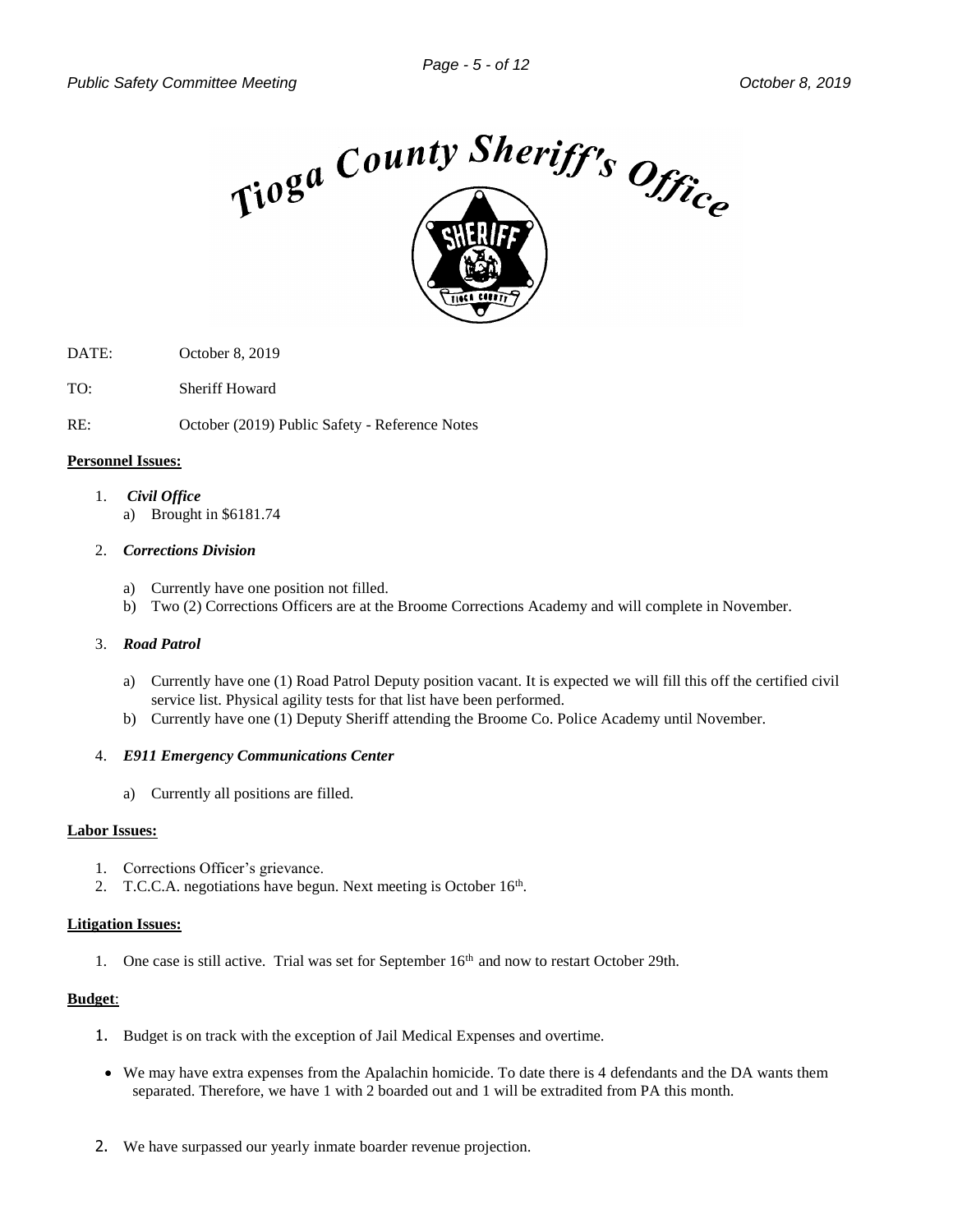

- DATE: October 8, 2019
- TO: Sheriff Howard

RE: October (2019) Public Safety - Reference Notes

#### **Personnel Issues:**

- 1. *Civil Office*
	- a) Brought in \$6181.74

#### 2. *Corrections Division*

- a) Currently have one position not filled.
- b) Two (2) Corrections Officers are at the Broome Corrections Academy and will complete in November.

#### 3. *Road Patrol*

- a) Currently have one (1) Road Patrol Deputy position vacant. It is expected we will fill this off the certified civil service list. Physical agility tests for that list have been performed.
- b) Currently have one (1) Deputy Sheriff attending the Broome Co. Police Academy until November.

#### 4. *E911 Emergency Communications Center*

a) Currently all positions are filled.

#### **Labor Issues:**

- 1. Corrections Officer's grievance.
- 2. T.C.C.A. negotiations have begun. Next meeting is October 16<sup>th</sup>.

#### **Litigation Issues:**

1. One case is still active. Trial was set for September 16<sup>th</sup> and now to restart October 29th.

#### **Budget**:

- 1. Budget is on track with the exception of Jail Medical Expenses and overtime.
- We may have extra expenses from the Apalachin homicide. To date there is 4 defendants and the DA wants them separated. Therefore, we have 1 with 2 boarded out and 1 will be extradited from PA this month.
- 2. We have surpassed our yearly inmate boarder revenue projection.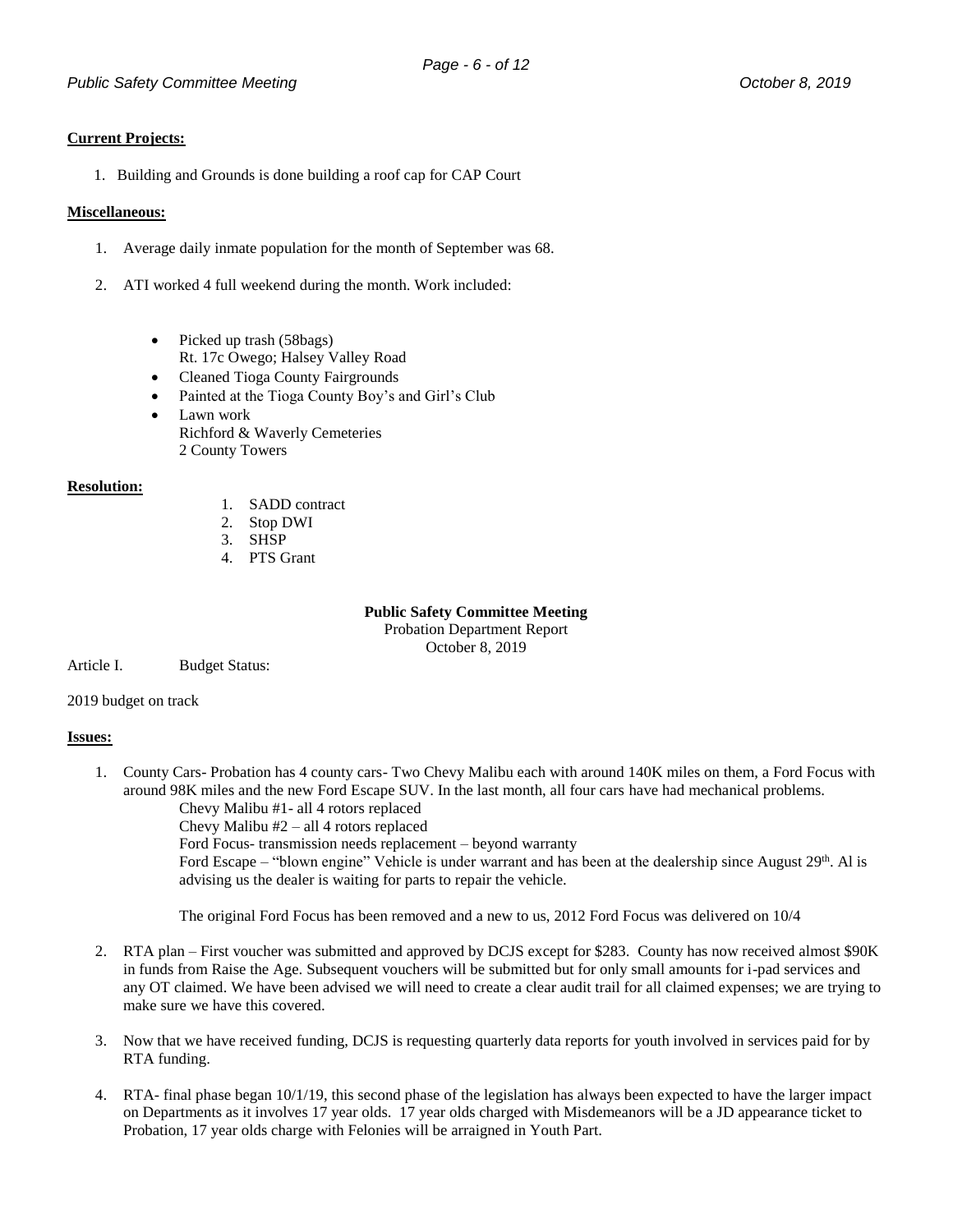#### **Current Projects:**

1. Building and Grounds is done building a roof cap for CAP Court

#### **Miscellaneous:**

- 1. Average daily inmate population for the month of September was 68.
- 2. ATI worked 4 full weekend during the month. Work included:
	- Picked up trash (58bags) Rt. 17c Owego; Halsey Valley Road
	- Cleaned Tioga County Fairgrounds
	- Painted at the Tioga County Boy's and Girl's Club
	- Lawn work Richford & Waverly Cemeteries 2 County Towers

#### **Resolution:**

- 1. SADD contract
- 2. Stop DWI
- 3. SHSP
- 4. PTS Grant

**Public Safety Committee Meeting**

Probation Department Report October 8, 2019

Article I. Budget Status:

2019 budget on track

#### **Issues:**

1. County Cars- Probation has 4 county cars- Two Chevy Malibu each with around 140K miles on them, a Ford Focus with around 98K miles and the new Ford Escape SUV. In the last month, all four cars have had mechanical problems. Chevy Malibu #1- all 4 rotors replaced

Chevy Malibu #2 – all 4 rotors replaced

Ford Focus- transmission needs replacement – beyond warranty Ford Escape – "blown engine" Vehicle is under warrant and has been at the dealership since August 29<sup>th</sup>. Al is advising us the dealer is waiting for parts to repair the vehicle.

The original Ford Focus has been removed and a new to us, 2012 Ford Focus was delivered on 10/4

- 2. RTA plan First voucher was submitted and approved by DCJS except for \$283. County has now received almost \$90K in funds from Raise the Age. Subsequent vouchers will be submitted but for only small amounts for i-pad services and any OT claimed. We have been advised we will need to create a clear audit trail for all claimed expenses; we are trying to make sure we have this covered.
- 3. Now that we have received funding, DCJS is requesting quarterly data reports for youth involved in services paid for by RTA funding.
- 4. RTA- final phase began 10/1/19, this second phase of the legislation has always been expected to have the larger impact on Departments as it involves 17 year olds. 17 year olds charged with Misdemeanors will be a JD appearance ticket to Probation, 17 year olds charge with Felonies will be arraigned in Youth Part.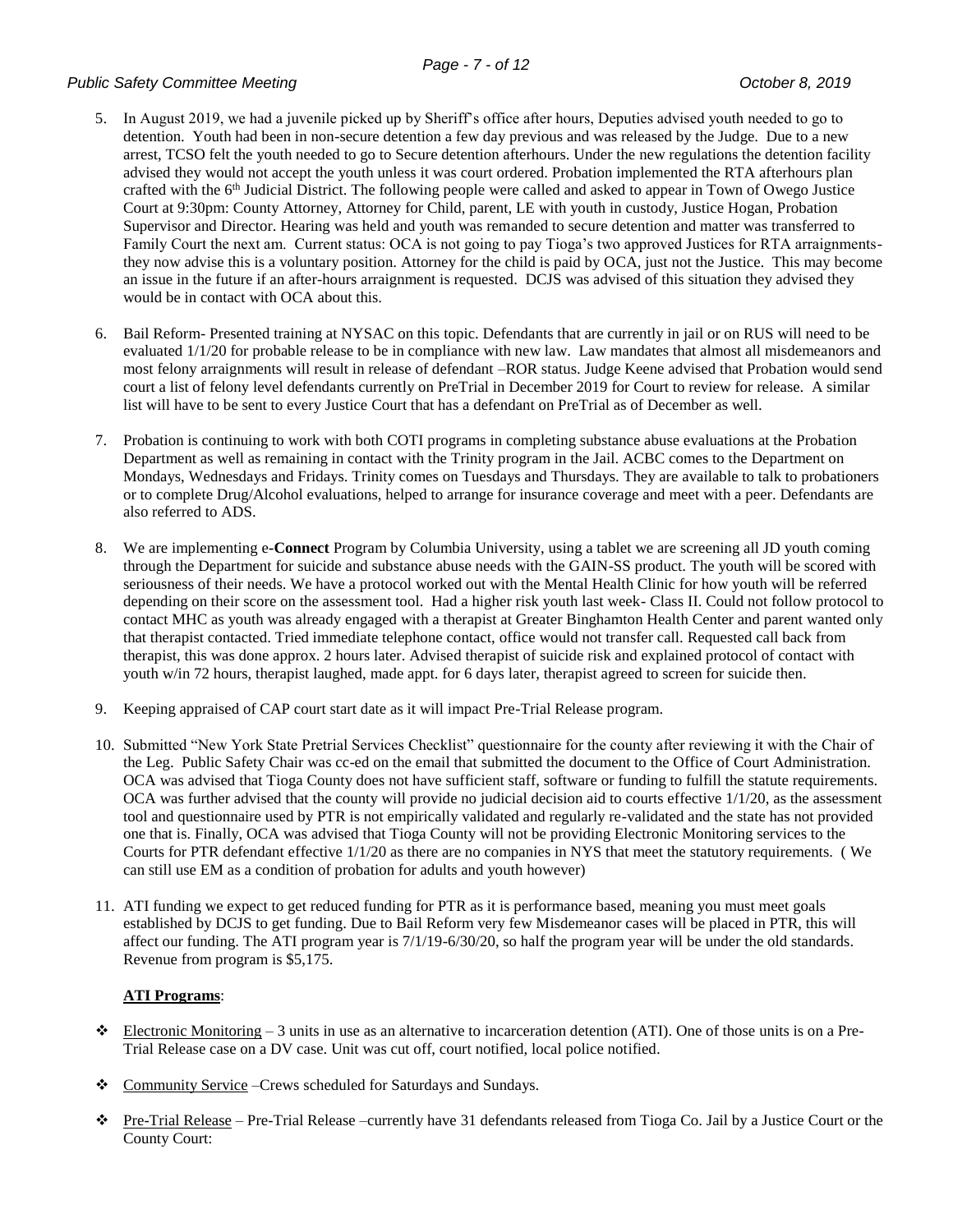#### *Public Safety Committee Meeting October 8, 2019*

- 5. In August 2019, we had a juvenile picked up by Sheriff's office after hours, Deputies advised youth needed to go to detention. Youth had been in non-secure detention a few day previous and was released by the Judge. Due to a new arrest, TCSO felt the youth needed to go to Secure detention afterhours. Under the new regulations the detention facility advised they would not accept the youth unless it was court ordered. Probation implemented the RTA afterhours plan crafted with the 6th Judicial District. The following people were called and asked to appear in Town of Owego Justice Court at 9:30pm: County Attorney, Attorney for Child, parent, LE with youth in custody, Justice Hogan, Probation Supervisor and Director. Hearing was held and youth was remanded to secure detention and matter was transferred to Family Court the next am. Current status: OCA is not going to pay Tioga's two approved Justices for RTA arraignmentsthey now advise this is a voluntary position. Attorney for the child is paid by OCA, just not the Justice. This may become an issue in the future if an after-hours arraignment is requested. DCJS was advised of this situation they advised they would be in contact with OCA about this.
- 6. Bail Reform- Presented training at NYSAC on this topic. Defendants that are currently in jail or on RUS will need to be evaluated 1/1/20 for probable release to be in compliance with new law. Law mandates that almost all misdemeanors and most felony arraignments will result in release of defendant –ROR status. Judge Keene advised that Probation would send court a list of felony level defendants currently on PreTrial in December 2019 for Court to review for release. A similar list will have to be sent to every Justice Court that has a defendant on PreTrial as of December as well.
- 7. Probation is continuing to work with both COTI programs in completing substance abuse evaluations at the Probation Department as well as remaining in contact with the Trinity program in the Jail. ACBC comes to the Department on Mondays, Wednesdays and Fridays. Trinity comes on Tuesdays and Thursdays. They are available to talk to probationers or to complete Drug/Alcohol evaluations, helped to arrange for insurance coverage and meet with a peer. Defendants are also referred to ADS.
- 8. We are implementing e**-Connect** Program by Columbia University, using a tablet we are screening all JD youth coming through the Department for suicide and substance abuse needs with the GAIN-SS product. The youth will be scored with seriousness of their needs. We have a protocol worked out with the Mental Health Clinic for how youth will be referred depending on their score on the assessment tool. Had a higher risk youth last week- Class II. Could not follow protocol to contact MHC as youth was already engaged with a therapist at Greater Binghamton Health Center and parent wanted only that therapist contacted. Tried immediate telephone contact, office would not transfer call. Requested call back from therapist, this was done approx. 2 hours later. Advised therapist of suicide risk and explained protocol of contact with youth w/in 72 hours, therapist laughed, made appt. for 6 days later, therapist agreed to screen for suicide then.
- 9. Keeping appraised of CAP court start date as it will impact Pre-Trial Release program.
- 10. Submitted "New York State Pretrial Services Checklist" questionnaire for the county after reviewing it with the Chair of the Leg. Public Safety Chair was cc-ed on the email that submitted the document to the Office of Court Administration. OCA was advised that Tioga County does not have sufficient staff, software or funding to fulfill the statute requirements. OCA was further advised that the county will provide no judicial decision aid to courts effective 1/1/20, as the assessment tool and questionnaire used by PTR is not empirically validated and regularly re-validated and the state has not provided one that is. Finally, OCA was advised that Tioga County will not be providing Electronic Monitoring services to the Courts for PTR defendant effective 1/1/20 as there are no companies in NYS that meet the statutory requirements. ( We can still use EM as a condition of probation for adults and youth however)
- 11. ATI funding we expect to get reduced funding for PTR as it is performance based, meaning you must meet goals established by DCJS to get funding. Due to Bail Reform very few Misdemeanor cases will be placed in PTR, this will affect our funding. The ATI program year is 7/1/19-6/30/20, so half the program year will be under the old standards. Revenue from program is \$5,175.

#### **ATI Programs**:

- Electronic Monitoring  $-3$  units in use as an alternative to incarceration detention (ATI). One of those units is on a Pre-Trial Release case on a DV case. Unit was cut off, court notified, local police notified.
- Community Service –Crews scheduled for Saturdays and Sundays.
- $\bullet$  Pre-Trial Release Pre-Trial Release –currently have 31 defendants released from Tioga Co. Jail by a Justice Court or the County Court: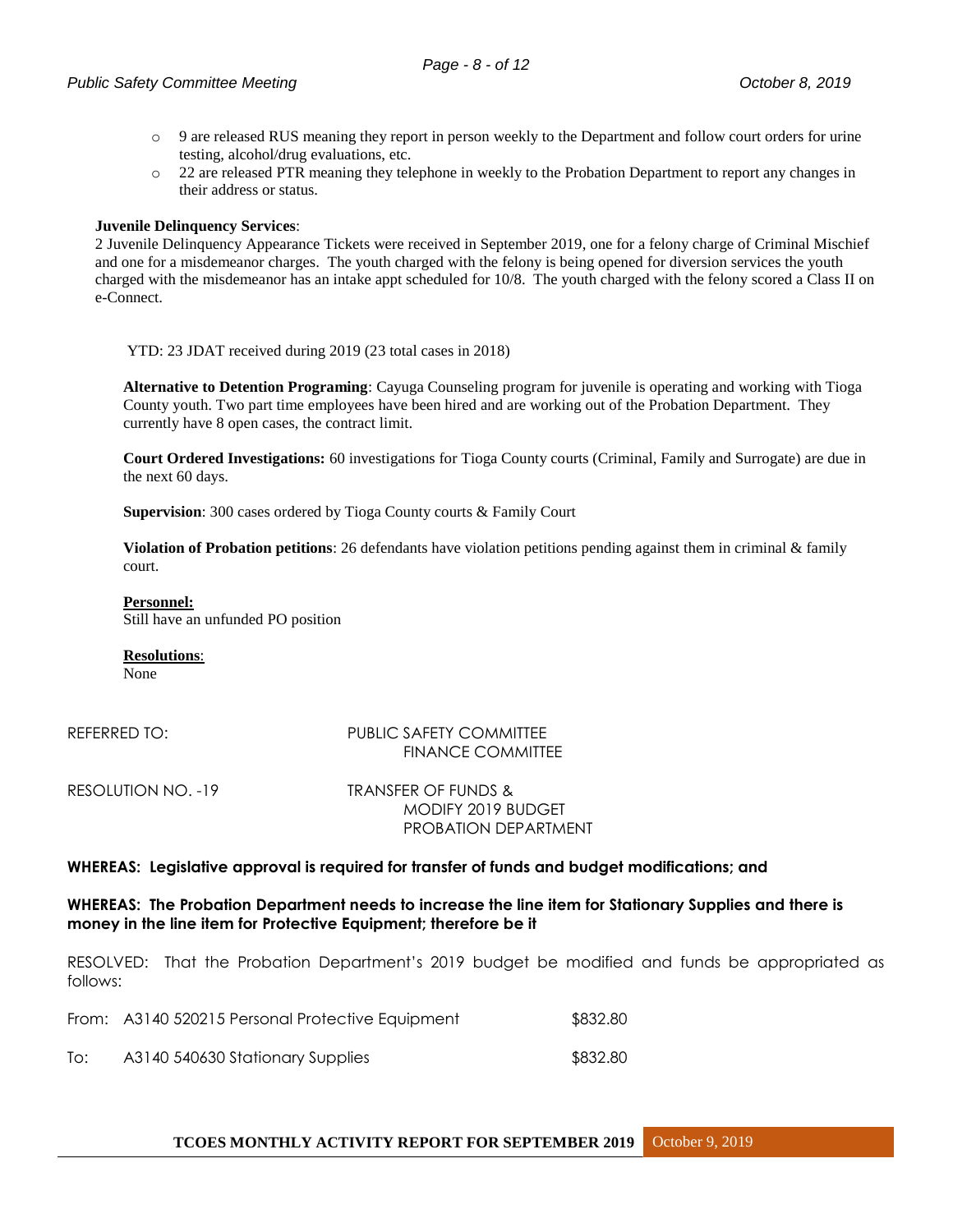- o 9 are released RUS meaning they report in person weekly to the Department and follow court orders for urine testing, alcohol/drug evaluations, etc.
- o 22 are released PTR meaning they telephone in weekly to the Probation Department to report any changes in their address or status.

#### **Juvenile Delinquency Services**:

2 Juvenile Delinquency Appearance Tickets were received in September 2019, one for a felony charge of Criminal Mischief and one for a misdemeanor charges. The youth charged with the felony is being opened for diversion services the youth charged with the misdemeanor has an intake appt scheduled for 10/8. The youth charged with the felony scored a Class II on e-Connect.

YTD: 23 JDAT received during 2019 (23 total cases in 2018)

**Alternative to Detention Programing**: Cayuga Counseling program for juvenile is operating and working with Tioga County youth. Two part time employees have been hired and are working out of the Probation Department. They currently have 8 open cases, the contract limit.

**Court Ordered Investigations:** 60 investigations for Tioga County courts (Criminal, Family and Surrogate) are due in the next 60 days.

**Supervision**: 300 cases ordered by Tioga County courts & Family Court

**Violation of Probation petitions**: 26 defendants have violation petitions pending against them in criminal & family court.

#### **Personnel:**

Still have an unfunded PO position

**Resolutions**:

None

#### REFERRED TO: PUBLIC SAFETY COMMITTEE FINANCE COMMITTEE

RESOLUTION NO. -19 TRANSFER OF FUNDS & MODIFY 2019 BUDGET PROBATION DEPARTMENT

#### **WHEREAS: Legislative approval is required for transfer of funds and budget modifications; and**

#### **WHEREAS: The Probation Department needs to increase the line item for Stationary Supplies and there is money in the line item for Protective Equipment; therefore be it**

RESOLVED: That the Probation Department's 2019 budget be modified and funds be appropriated as follows:

|     | From: A3140 520215 Personal Protective Equipment | \$832.80 |
|-----|--------------------------------------------------|----------|
| To: | A3140 540630 Stationary Supplies                 | \$832.80 |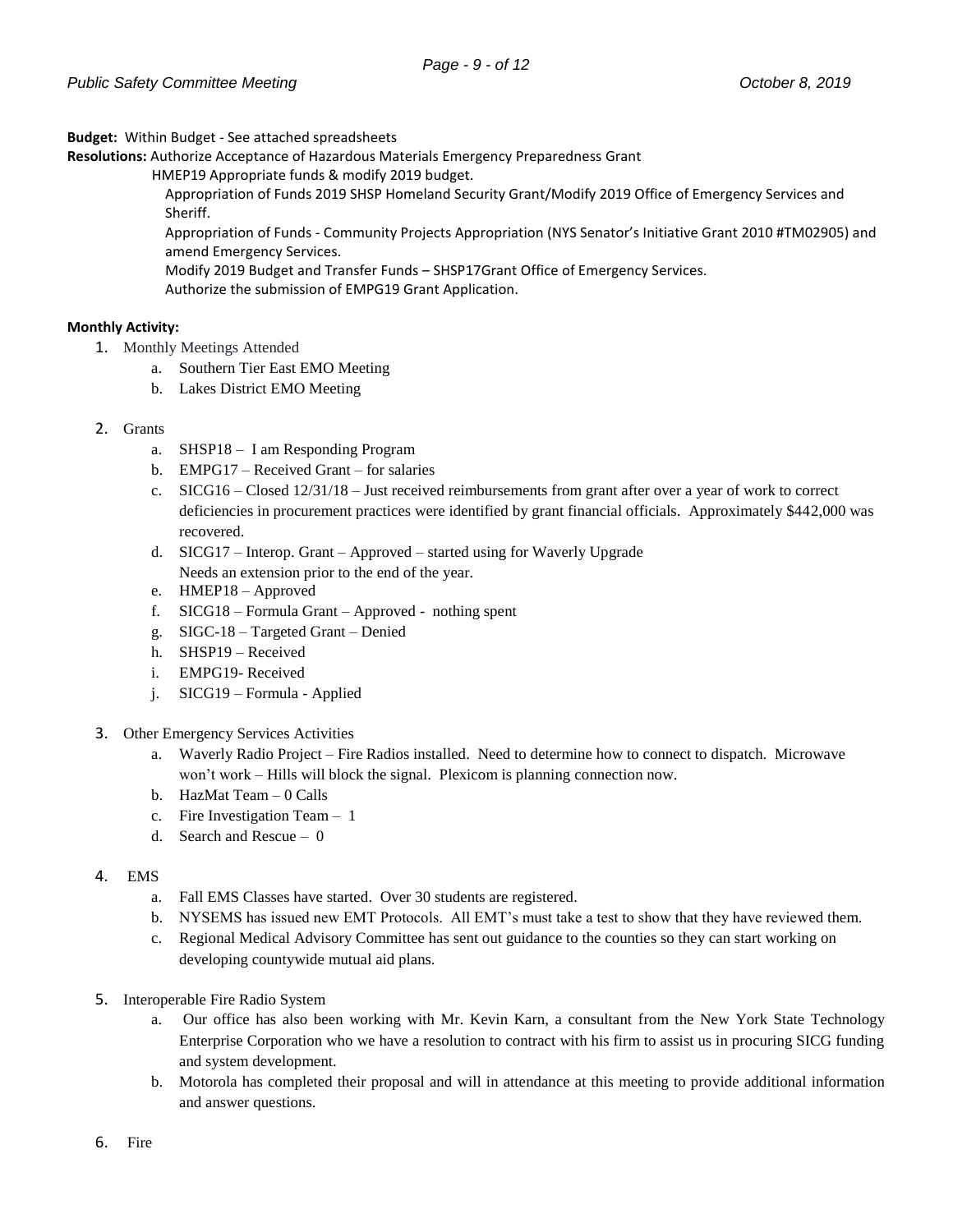**Budget:** Within Budget - See attached spreadsheets

**Resolutions:** Authorize Acceptance of Hazardous Materials Emergency Preparedness Grant

HMEP19 Appropriate funds & modify 2019 budget.

Appropriation of Funds 2019 SHSP Homeland Security Grant/Modify 2019 Office of Emergency Services and Sheriff.

Appropriation of Funds - Community Projects Appropriation (NYS Senator's Initiative Grant 2010 #TM02905) and amend Emergency Services.

Modify 2019 Budget and Transfer Funds – SHSP17Grant Office of Emergency Services.

Authorize the submission of EMPG19 Grant Application.

#### **Monthly Activity:**

- 1. Monthly Meetings Attended
	- a. Southern Tier East EMO Meeting
	- b. Lakes District EMO Meeting

#### 2. Grants

- a. SHSP18 I am Responding Program
- b. EMPG17 Received Grant for salaries
- c. SICG16 Closed 12/31/18 Just received reimbursements from grant after over a year of work to correct deficiencies in procurement practices were identified by grant financial officials. Approximately \$442,000 was recovered.
- d. SICG17 Interop. Grant Approved started using for Waverly Upgrade Needs an extension prior to the end of the year.
- e. HMEP18 Approved
- f. SICG18 Formula Grant Approved nothing spent
- g. SIGC-18 Targeted Grant Denied
- h. SHSP19 Received
- i. EMPG19- Received
- j. SICG19 Formula Applied
- 3. Other Emergency Services Activities
	- a. Waverly Radio Project Fire Radios installed. Need to determine how to connect to dispatch. Microwave won't work – Hills will block the signal. Plexicom is planning connection now.
	- b. HazMat Team 0 Calls
	- c. Fire Investigation Team 1
	- d. Search and Rescue 0

#### 4. EMS

- a. Fall EMS Classes have started. Over 30 students are registered.
- b. NYSEMS has issued new EMT Protocols. All EMT's must take a test to show that they have reviewed them.
- c. Regional Medical Advisory Committee has sent out guidance to the counties so they can start working on developing countywide mutual aid plans.
- 5. Interoperable Fire Radio System
	- a. Our office has also been working with Mr. Kevin Karn, a consultant from the New York State Technology Enterprise Corporation who we have a resolution to contract with his firm to assist us in procuring SICG funding and system development.
	- b. Motorola has completed their proposal and will in attendance at this meeting to provide additional information and answer questions.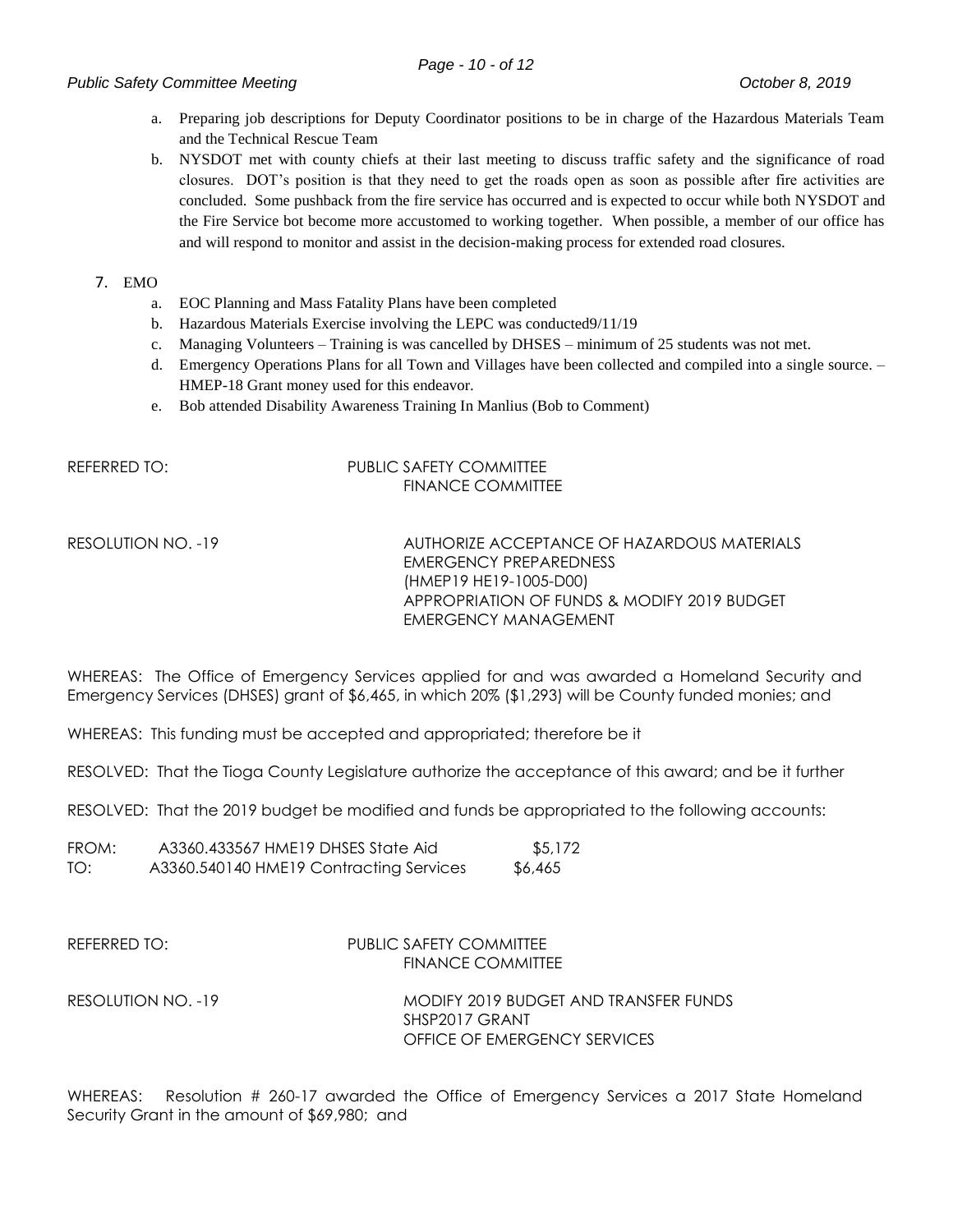#### *Public Safety Committee Meeting <i>Public Safety Committee Meeting October 8, 2019*

- a. Preparing job descriptions for Deputy Coordinator positions to be in charge of the Hazardous Materials Team and the Technical Rescue Team
- b. NYSDOT met with county chiefs at their last meeting to discuss traffic safety and the significance of road closures. DOT's position is that they need to get the roads open as soon as possible after fire activities are concluded. Some pushback from the fire service has occurred and is expected to occur while both NYSDOT and the Fire Service bot become more accustomed to working together. When possible, a member of our office has and will respond to monitor and assist in the decision-making process for extended road closures.

#### 7. EMO

- a. EOC Planning and Mass Fatality Plans have been completed
- b. Hazardous Materials Exercise involving the LEPC was conducted9/11/19
- c. Managing Volunteers Training is was cancelled by DHSES minimum of 25 students was not met.
- d. Emergency Operations Plans for all Town and Villages have been collected and compiled into a single source. HMEP-18 Grant money used for this endeavor.
- e. Bob attended Disability Awareness Training In Manlius (Bob to Comment)

#### REFERRED TO: PUBLIC SAFETY COMMITTEE FINANCE COMMITTEE

RESOLUTION NO. -19 AUTHORIZE ACCEPTANCE OF HAZARDOUS MATERIALS EMERGENCY PREPAREDNESS (HMEP19 HE19-1005-D00) APPROPRIATION OF FUNDS & MODIFY 2019 BUDGET EMERGENCY MANAGEMENT

WHEREAS: The Office of Emergency Services applied for and was awarded a Homeland Security and Emergency Services (DHSES) grant of \$6,465, in which 20% (\$1,293) will be County funded monies; and

WHEREAS: This funding must be accepted and appropriated; therefore be it

RESOLVED: That the Tioga County Legislature authorize the acceptance of this award; and be it further

RESOLVED: That the 2019 budget be modified and funds be appropriated to the following accounts:

| FROM: | A3360.433567 HME19 DHSES State Aid      | \$5,172 |
|-------|-----------------------------------------|---------|
| TO:   | A3360.540140 HME19 Contracting Services | \$6,465 |

#### REFERRED TO: PUBLIC SAFETY COMMITTEE FINANCE COMMITTEE

RESOLUTION NO. -19 MODIFY 2019 BUDGET AND TRANSFER FUNDS SHSP2017 GRANT OFFICE OF EMERGENCY SERVICES

WHEREAS: Resolution # 260-17 awarded the Office of Emergency Services a 2017 State Homeland Security Grant in the amount of \$69,980; and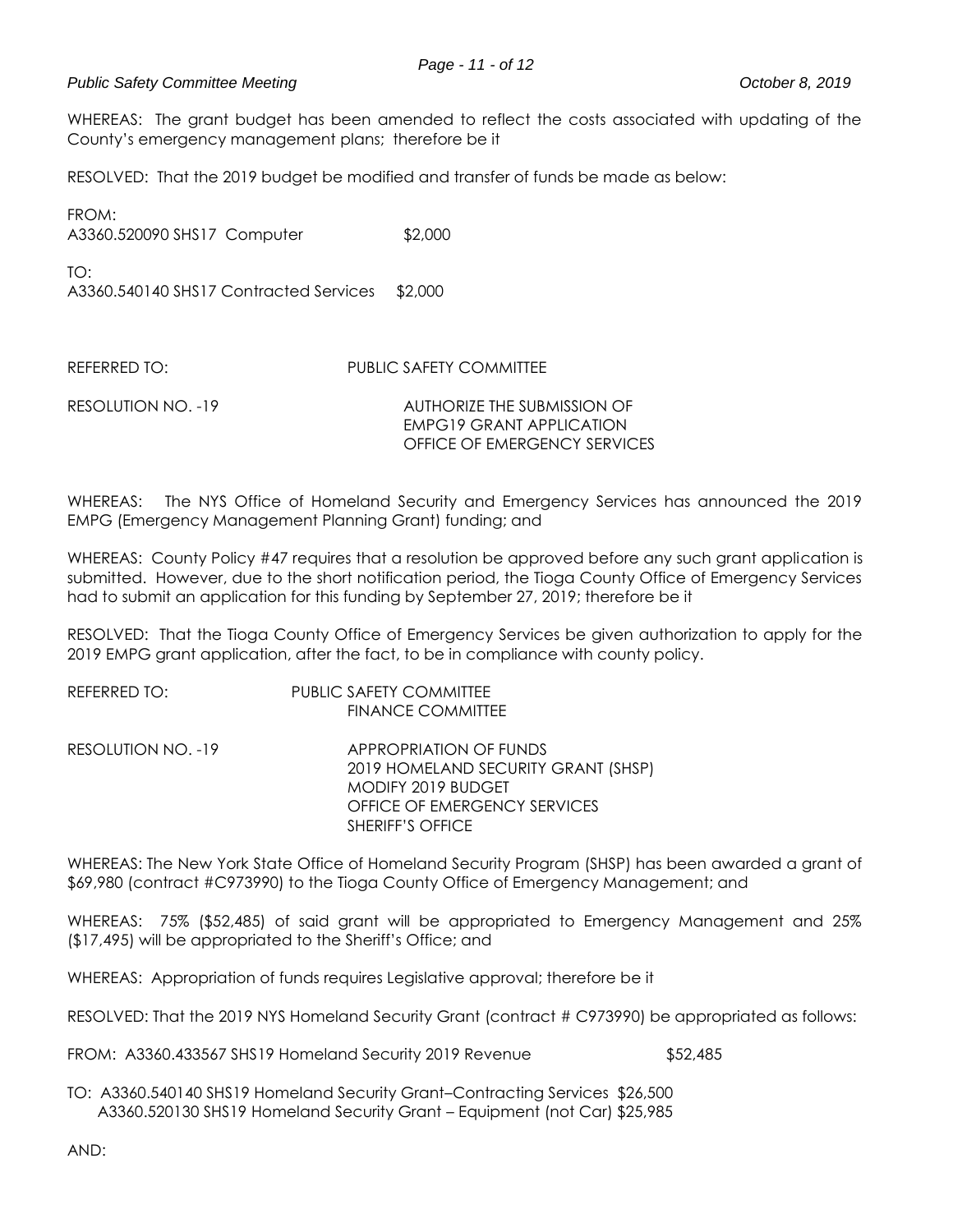### *Public Safety Committee Meeting October 8, 2019*

WHEREAS: The grant budget has been amended to reflect the costs associated with updating of the County's emergency management plans; therefore be it

RESOLVED: That the 2019 budget be modified and transfer of funds be made as below:

FROM: A3360.520090 SHS17 Computer \$2,000

 $TO<sup>2</sup>$ 

A3360.540140 SHS17 Contracted Services \$2,000

REFERRED TO: PUBLIC SAFETY COMMITTEE

RESOLUTION NO. -19 AUTHORIZE THE SUBMISSION OF EMPG19 GRANT APPLICATION OFFICE OF EMERGENCY SERVICES

WHEREAS: The NYS Office of Homeland Security and Emergency Services has announced the 2019 EMPG (Emergency Management Planning Grant) funding; and

WHEREAS: County Policy #47 requires that a resolution be approved before any such grant application is submitted. However, due to the short notification period, the Tioga County Office of Emergency Services had to submit an application for this funding by September 27, 2019; therefore be it

RESOLVED: That the Tioga County Office of Emergency Services be given authorization to apply for the 2019 EMPG grant application, after the fact, to be in compliance with county policy.

| REFERRED TO:       | PUBLIC SAFETY COMMITTEE             |
|--------------------|-------------------------------------|
|                    | <b>FINANCE COMMITTEE</b>            |
| RESOLUTION NO. -19 | <b>APPROPRIATION OF FUNDS</b>       |
|                    | 2019 HOMELAND SECURITY GRANT (SHSP) |
|                    | MODIFY 2019 BUDGET                  |
|                    | OFFICE OF EMERGENCY SERVICES        |
|                    | SHERIFF'S OFFICE                    |

WHEREAS: The New York State Office of Homeland Security Program (SHSP) has been awarded a grant of \$69,980 (contract #C973990) to the Tioga County Office of Emergency Management; and

WHEREAS: 75% (\$52,485) of said grant will be appropriated to Emergency Management and 25% (\$17,495) will be appropriated to the Sheriff's Office; and

WHEREAS: Appropriation of funds requires Legislative approval; therefore be it

RESOLVED: That the 2019 NYS Homeland Security Grant (contract # C973990) be appropriated as follows:

FROM: A3360.433567 SHS19 Homeland Security 2019 Revenue \$52,485

TO: A3360.540140 SHS19 Homeland Security Grant–Contracting Services \$26,500 A3360.520130 SHS19 Homeland Security Grant – Equipment (not Car) \$25,985

AND: